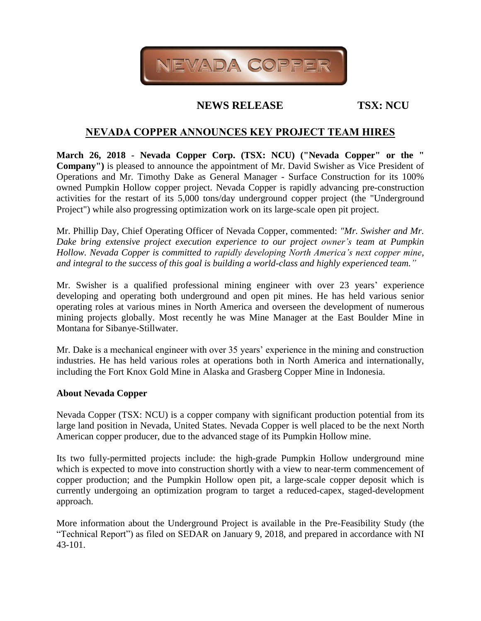

# **NEWS RELEASE TSX: NCU**

## **NEVADA COPPER ANNOUNCES KEY PROJECT TEAM HIRES**

**March 26, 2018 - Nevada Copper Corp. (TSX: NCU) ("Nevada Copper" or the " Company")** is pleased to announce the appointment of Mr. David Swisher as Vice President of Operations and Mr. Timothy Dake as General Manager - Surface Construction for its 100% owned Pumpkin Hollow copper project. Nevada Copper is rapidly advancing pre-construction activities for the restart of its 5,000 tons/day underground copper project (the "Underground Project") while also progressing optimization work on its large-scale open pit project.

Mr. Phillip Day, Chief Operating Officer of Nevada Copper, commented: *"Mr. Swisher and Mr. Dake bring extensive project execution experience to our project owner's team at Pumpkin Hollow. Nevada Copper is committed to rapidly developing North America's next copper mine, and integral to the success of this goal is building a world-class and highly experienced team."*

Mr. Swisher is a qualified professional mining engineer with over 23 years' experience developing and operating both underground and open pit mines. He has held various senior operating roles at various mines in North America and overseen the development of numerous mining projects globally. Most recently he was Mine Manager at the East Boulder Mine in Montana for Sibanye-Stillwater.

Mr. Dake is a mechanical engineer with over 35 years' experience in the mining and construction industries. He has held various roles at operations both in North America and internationally, including the Fort Knox Gold Mine in Alaska and Grasberg Copper Mine in Indonesia.

## **About Nevada Copper**

Nevada Copper (TSX: NCU) is a copper company with significant production potential from its large land position in Nevada, United States. Nevada Copper is well placed to be the next North American copper producer, due to the advanced stage of its Pumpkin Hollow mine.

Its two fully-permitted projects include: the high-grade Pumpkin Hollow underground mine which is expected to move into construction shortly with a view to near-term commencement of copper production; and the Pumpkin Hollow open pit, a large-scale copper deposit which is currently undergoing an optimization program to target a reduced-capex, staged-development approach.

More information about the Underground Project is available in the Pre-Feasibility Study (the "Technical Report") as filed on SEDAR on January 9, 2018, and prepared in accordance with NI 43-101.